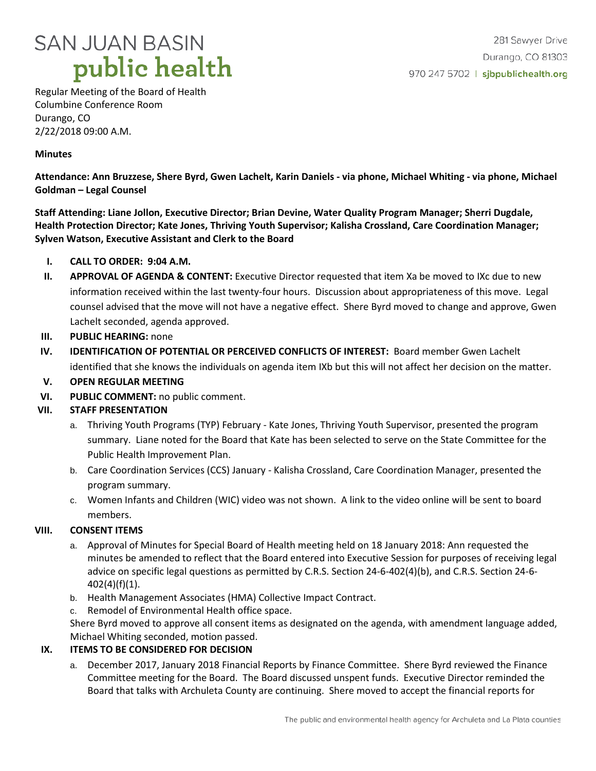

Regular Meeting of the Board of Health Columbine Conference Room Durango, CO 2/22/2018 09:00 A.M.

### **Minutes**

**Attendance: Ann Bruzzese, Shere Byrd, Gwen Lachelt, Karin Daniels - via phone, Michael Whiting - via phone, Michael Goldman – Legal Counsel**

**Staff Attending: Liane Jollon, Executive Director; Brian Devine, Water Quality Program Manager; Sherri Dugdale, Health Protection Director; Kate Jones, Thriving Youth Supervisor; Kalisha Crossland, Care Coordination Manager; Sylven Watson, Executive Assistant and Clerk to the Board**

- **I. CALL TO ORDER: 9:04 A.M.**
- **II. APPROVAL OF AGENDA & CONTENT:** Executive Director requested that item Xa be moved to IXc due to new information received within the last twenty-four hours. Discussion about appropriateness of this move. Legal counsel advised that the move will not have a negative effect. Shere Byrd moved to change and approve, Gwen Lachelt seconded, agenda approved.
- **III.** PUBLIC HEARING: none
- **IV. IDENTIFICATION OF POTENTIAL OR PERCEIVED CONFLICTS OF INTEREST:** Board member Gwen Lachelt identified that she knows the individuals on agenda item IXb but this will not affect her decision on the matter.
- **V. OPEN REGULAR MEETING**
- **VI. PUBLIC COMMENT:** no public comment.

## **VII. STAFF PRESENTATION**

- a. Thriving Youth Programs (TYP) February Kate Jones, Thriving Youth Supervisor, presented the program summary. Liane noted for the Board that Kate has been selected to serve on the State Committee for the Public Health Improvement Plan.
- b. Care Coordination Services (CCS) January Kalisha Crossland, Care Coordination Manager, presented the program summary.
- c. Women Infants and Children (WIC) video was not shown. A link to the video online will be sent to board members.

## **VIII. CONSENT ITEMS**

- a. Approval of Minutes for Special Board of Health meeting held on 18 January 2018: Ann requested the minutes be amended to reflect that the Board entered into Executive Session for purposes of receiving legal advice on specific legal questions as permitted by C.R.S. Section 24-6-402(4)(b), and C.R.S. Section 24-6- 402(4)(f)(1).
- b. Health Management Associates (HMA) Collective Impact Contract.
- c. Remodel of Environmental Health office space.

Shere Byrd moved to approve all consent items as designated on the agenda, with amendment language added, Michael Whiting seconded, motion passed.

#### **IX. ITEMS TO BE CONSIDERED FOR DECISION**

a. December 2017, January 2018 Financial Reports by Finance Committee. Shere Byrd reviewed the Finance Committee meeting for the Board. The Board discussed unspent funds. Executive Director reminded the Board that talks with Archuleta County are continuing. Shere moved to accept the financial reports for